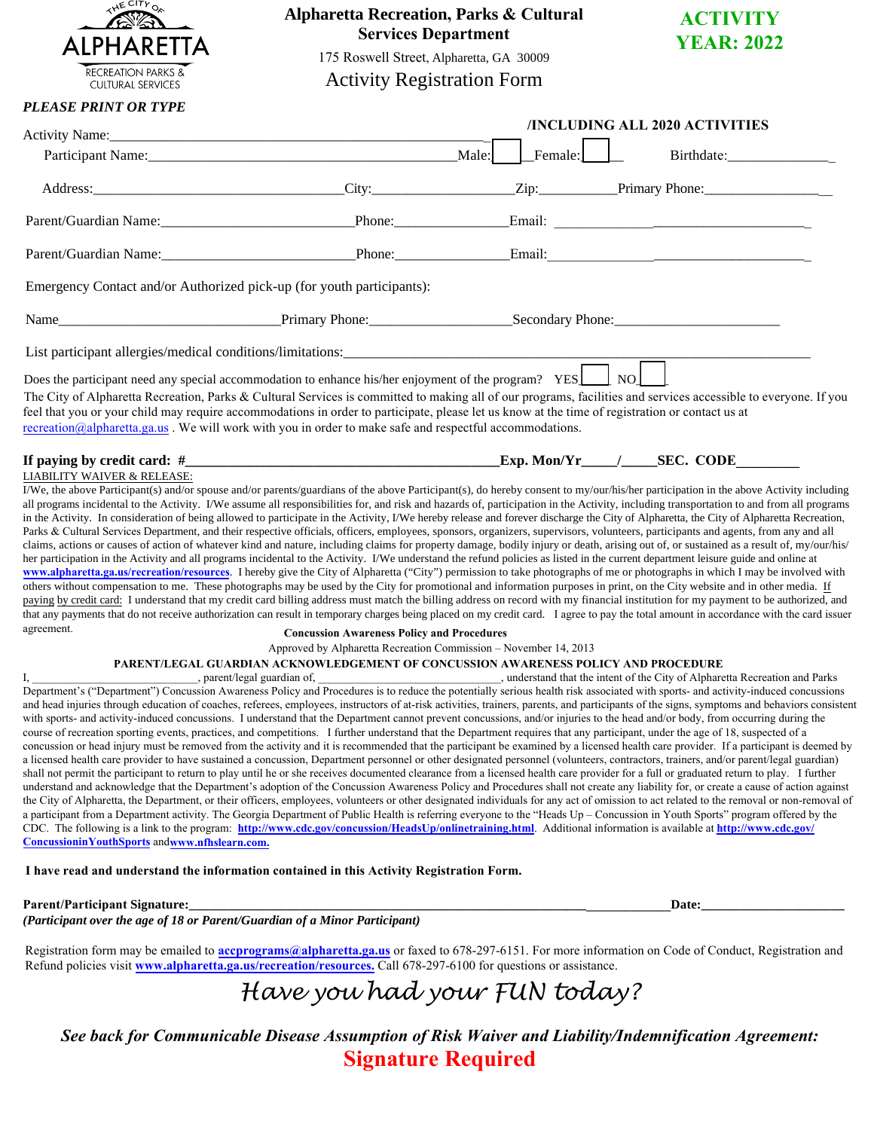

## **Alpharetta Recreation, Parks & Cultural Services Department**



Activity Registration Form

| <b>ACTIVITY</b>   |  |
|-------------------|--|
| <b>YEAR: 2022</b> |  |

## *PLEASE PRINT OR TYPE*

|                                                                                                                                                                                                                                                                                                                                                                                                                                                                                                                                                                        |                                                                                    |         | /INCLUDING ALL 2020 ACTIVITIES                                                                                                                                                                                                |  |  |
|------------------------------------------------------------------------------------------------------------------------------------------------------------------------------------------------------------------------------------------------------------------------------------------------------------------------------------------------------------------------------------------------------------------------------------------------------------------------------------------------------------------------------------------------------------------------|------------------------------------------------------------------------------------|---------|-------------------------------------------------------------------------------------------------------------------------------------------------------------------------------------------------------------------------------|--|--|
|                                                                                                                                                                                                                                                                                                                                                                                                                                                                                                                                                                        |                                                                                    | Male:   |                                                                                                                                                                                                                               |  |  |
|                                                                                                                                                                                                                                                                                                                                                                                                                                                                                                                                                                        |                                                                                    | Female: | Birthdate:                                                                                                                                                                                                                    |  |  |
|                                                                                                                                                                                                                                                                                                                                                                                                                                                                                                                                                                        |                                                                                    |         | City: City: City: City: City: City: City: City: City: City: City: City: City: City: City: City: City: City: City: City: City: City: City: City: City: City: City: City: City: City: City: City: City: City: City: City: City: |  |  |
|                                                                                                                                                                                                                                                                                                                                                                                                                                                                                                                                                                        |                                                                                    |         |                                                                                                                                                                                                                               |  |  |
|                                                                                                                                                                                                                                                                                                                                                                                                                                                                                                                                                                        |                                                                                    |         |                                                                                                                                                                                                                               |  |  |
| Emergency Contact and/or Authorized pick-up (for youth participants):                                                                                                                                                                                                                                                                                                                                                                                                                                                                                                  |                                                                                    |         |                                                                                                                                                                                                                               |  |  |
|                                                                                                                                                                                                                                                                                                                                                                                                                                                                                                                                                                        |                                                                                    |         |                                                                                                                                                                                                                               |  |  |
|                                                                                                                                                                                                                                                                                                                                                                                                                                                                                                                                                                        |                                                                                    |         |                                                                                                                                                                                                                               |  |  |
| Does the participant need any special accommodation to enhance his/her enjoyment of the program? YES NO<br>The City of Alpharetta Recreation, Parks & Cultural Services is committed to making all of our programs, facilities and services accessible to everyone. If you<br>feel that you or your child may require accommodations in order to participate, please let us know at the time of registration or contact us at<br>$recreation(\partial_a] \text{a} \text{1}$ pharetta.ga.us. We will work with you in order to make safe and respectful accommodations. |                                                                                    |         |                                                                                                                                                                                                                               |  |  |
|                                                                                                                                                                                                                                                                                                                                                                                                                                                                                                                                                                        |                                                                                    |         |                                                                                                                                                                                                                               |  |  |
| <b>LIABILITY WAIVER &amp; RELEASE:</b>                                                                                                                                                                                                                                                                                                                                                                                                                                                                                                                                 |                                                                                    |         |                                                                                                                                                                                                                               |  |  |
| I/We, the above Participant(s) and/or spouse and/or parents/guardians of the above Participant(s), do hereby consent to my/our/his/her participation in the above Activity including                                                                                                                                                                                                                                                                                                                                                                                   |                                                                                    |         |                                                                                                                                                                                                                               |  |  |
| all programs incidental to the Activity. I/We assume all responsibilities for, and risk and hazards of, participation in the Activity, including transportation to and from all programs                                                                                                                                                                                                                                                                                                                                                                               |                                                                                    |         |                                                                                                                                                                                                                               |  |  |
| in the Activity. In consideration of being allowed to participate in the Activity, I/We hereby release and forever discharge the City of Alpharetta, the City of Alpharetta Recreation,                                                                                                                                                                                                                                                                                                                                                                                |                                                                                    |         |                                                                                                                                                                                                                               |  |  |
| Parks & Cultural Services Department, and their respective officials, officers, employees, sponsors, organizers, supervisors, volunteers, participants and agents, from any and all                                                                                                                                                                                                                                                                                                                                                                                    |                                                                                    |         |                                                                                                                                                                                                                               |  |  |
| claims, actions or causes of action of whatever kind and nature, including claims for property damage, bodily injury or death, arising out of, or sustained as a result of, my/our/his/                                                                                                                                                                                                                                                                                                                                                                                |                                                                                    |         |                                                                                                                                                                                                                               |  |  |
| her participation in the Activity and all programs incidental to the Activity. I/We understand the refund policies as listed in the current department leisure guide and online at                                                                                                                                                                                                                                                                                                                                                                                     |                                                                                    |         |                                                                                                                                                                                                                               |  |  |
| www.alpharetta.ga.us/recreation/resources. I hereby give the City of Alpharetta ("City") permission to take photographs of me or photographs in which I may be involved with                                                                                                                                                                                                                                                                                                                                                                                           |                                                                                    |         |                                                                                                                                                                                                                               |  |  |
| others without compensation to me. These photographs may be used by the City for promotional and information purposes in print, on the City website and in other media. If                                                                                                                                                                                                                                                                                                                                                                                             |                                                                                    |         |                                                                                                                                                                                                                               |  |  |
| paying by credit card: I understand that my credit card billing address must match the billing address on record with my financial institution for my payment to be authorized, and                                                                                                                                                                                                                                                                                                                                                                                    |                                                                                    |         |                                                                                                                                                                                                                               |  |  |
|                                                                                                                                                                                                                                                                                                                                                                                                                                                                                                                                                                        |                                                                                    |         | that any payments that do not receive authorization can result in temporary charges being placed on my credit card. I agree to pay the total amount in accordance with the card issuer                                        |  |  |
| agreement.                                                                                                                                                                                                                                                                                                                                                                                                                                                                                                                                                             | <b>Concussion Awareness Policy and Procedures</b>                                  |         |                                                                                                                                                                                                                               |  |  |
|                                                                                                                                                                                                                                                                                                                                                                                                                                                                                                                                                                        | Approved by Alpharetta Recreation Commission - November 14, 2013                   |         |                                                                                                                                                                                                                               |  |  |
|                                                                                                                                                                                                                                                                                                                                                                                                                                                                                                                                                                        | PARENT/LEGAL GUARDIAN ACKNOWLEDGEMENT OF CONCUSSION AWARENESS POLICY AND PROCEDURE |         |                                                                                                                                                                                                                               |  |  |
|                                                                                                                                                                                                                                                                                                                                                                                                                                                                                                                                                                        |                                                                                    |         |                                                                                                                                                                                                                               |  |  |
| Department's ("Department") Concussion Awareness Policy and Procedures is to reduce the potentially serious health risk associated with sports- and activity-induced concussions                                                                                                                                                                                                                                                                                                                                                                                       |                                                                                    |         |                                                                                                                                                                                                                               |  |  |
|                                                                                                                                                                                                                                                                                                                                                                                                                                                                                                                                                                        |                                                                                    |         | and head injuries through education of coaches, referees, employees, instructors of at-risk activities, trainers, parents, and participants of the signs, symptoms and behaviors consistent                                   |  |  |
| with sports- and activity-induced concussions. I understand that the Department cannot prevent concussions, and/or injuries to the head and/or body, from occurring during the                                                                                                                                                                                                                                                                                                                                                                                         |                                                                                    |         |                                                                                                                                                                                                                               |  |  |
| course of recreation sporting events, practices, and competitions. I further understand that the Department requires that any participant, under the age of 18, suspected of a                                                                                                                                                                                                                                                                                                                                                                                         |                                                                                    |         |                                                                                                                                                                                                                               |  |  |
|                                                                                                                                                                                                                                                                                                                                                                                                                                                                                                                                                                        |                                                                                    |         | concussion or head injury must be removed from the activity and it is recommended that the participant be examined by a licensed health care provider. If a participant is deemed by                                          |  |  |
| a licensed health care provider to have sustained a concussion, Department personnel or other designated personnel (volunteers, contractors, trainers, and/or parent/legal guardian)                                                                                                                                                                                                                                                                                                                                                                                   |                                                                                    |         |                                                                                                                                                                                                                               |  |  |
| shall not permit the participant to return to play until he or she receives documented clearance from a licensed health care provider for a full or graduated return to play. I further                                                                                                                                                                                                                                                                                                                                                                                |                                                                                    |         |                                                                                                                                                                                                                               |  |  |
| understand and acknowledge that the Department's adoption of the Concussion Awareness Policy and Procedures shall not create any liability for, or create a cause of action against                                                                                                                                                                                                                                                                                                                                                                                    |                                                                                    |         |                                                                                                                                                                                                                               |  |  |
|                                                                                                                                                                                                                                                                                                                                                                                                                                                                                                                                                                        |                                                                                    |         | the City of Alpharetta, the Department, or their officers, employees, volunteers or other designated individuals for any act of omission to act related to the removal or non-removal of                                      |  |  |
| a participant from a Department activity. The Georgia Department of Public Health is referring everyone to the "Heads Up - Concussion in Youth Sports" program offered by the                                                                                                                                                                                                                                                                                                                                                                                          |                                                                                    |         |                                                                                                                                                                                                                               |  |  |
| CDC. The following is a link to the program: http://www.cdc.gov/concussion/HeadsUp/onlinetraining.html. Additional information is available at http://www.cdc.gov/                                                                                                                                                                                                                                                                                                                                                                                                     |                                                                                    |         |                                                                                                                                                                                                                               |  |  |
| Concussionin Youth Sports andwww.nfhslearn.com.                                                                                                                                                                                                                                                                                                                                                                                                                                                                                                                        |                                                                                    |         |                                                                                                                                                                                                                               |  |  |
| I have read and understand the information contained in this Activity Registration Form.                                                                                                                                                                                                                                                                                                                                                                                                                                                                               |                                                                                    |         |                                                                                                                                                                                                                               |  |  |
|                                                                                                                                                                                                                                                                                                                                                                                                                                                                                                                                                                        |                                                                                    |         | Date:                                                                                                                                                                                                                         |  |  |
| Parent/Participant Signature:<br>(Participant over the age of 18 or Parent/Guardian of a Minor Participant)                                                                                                                                                                                                                                                                                                                                                                                                                                                            |                                                                                    |         |                                                                                                                                                                                                                               |  |  |
|                                                                                                                                                                                                                                                                                                                                                                                                                                                                                                                                                                        |                                                                                    |         |                                                                                                                                                                                                                               |  |  |
| Registration form may be emailed to <b>accprograms@alpharetta.ga.us</b> or faxed to 678-297-6151. For more information on Code of Conduct, Registration and                                                                                                                                                                                                                                                                                                                                                                                                            |                                                                                    |         |                                                                                                                                                                                                                               |  |  |

Refund policies visit **www.alpharetta.ga.us/recreation/resources.** Call 678-297-6100 for questions or assistance.

*Have you had your FUN today?*

*See back for Communicable Disease Assumption of Risk Waiver and Liability/Indemnification Agreement:*  **Signature Required**